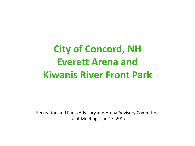# **City of Concord, NH Everett Arena and Kiwanis River Front Park**

Recreation and Parks Advisory and Arena Advisory Committee Joint Meeting : Jan 17, 2017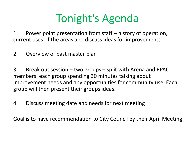# Tonight's Agenda

1. Power point presentation from staff – history of operation, current uses of the areas and discuss ideas for improvements

2. Overview of past master plan

3. Break out session – two groups – split with Arena and RPAC members: each group spending 30 minutes talking about improvement needs and any opportunities for community use. Each group will then present their groups ideas.

4. Discuss meeting date and needs for next meeting

Goal is to have recommendation to City Council by their April Meeting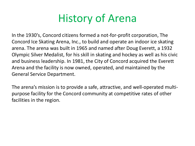### History of Arena

In the 1930's, Concord citizens formed a not-for-profit corporation, The Concord Ice Skating Arena, Inc., to build and operate an indoor ice skating arena. The arena was built in 1965 and named after Doug Everett, a 1932 Olympic Silver Medalist, for his skill in skating and hockey as well as his civic and business leadership. In 1981, the City of Concord acquired the Everett Arena and the facility is now owned, operated, and maintained by the General Service Department.

The arena's mission is to provide a safe, attractive, and well-operated multipurpose facility for the Concord community at competitive rates of other facilities in the region.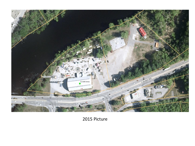

2015 Picture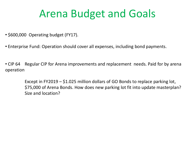### Arena Budget and Goals

- \$600,000 Operating budget (FY17).
- Enterprise Fund: Operation should cover all expenses, including bond payments.
- CIP 64 Regular CIP for Arena improvements and replacement needs. Paid for by arena operation

Except in FY2019 – \$1.025 million dollars of GO Bonds to replace parking lot, \$75,000 of Arena Bonds. How does new parking lot fit into update masterplan? Size and location?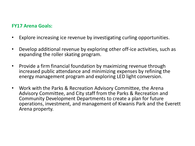#### **FY17 Arena Goals:**

- Explore increasing ice revenue by investigating curling opportunities.
- Develop additional revenue by exploring other off-ice activities, such as expanding the roller skating program.
- Provide a firm financial foundation by maximizing revenue through increased public attendance and minimizing expenses by refining the energy management program and exploring LED light conversion.
- Work with the Parks & Recreation Advisory Committee, the Arena Advisory Committee, and City staff from the Parks & Recreation and Community Development Departments to create a plan for future operations, investment, and management of Kiwanis Park and the Everett Arena property.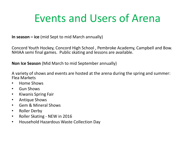### Events and Users of Arena

**In season – ice** (mid Sept to mid March annually)

Concord Youth Hockey, Concord High School , Pembroke Academy, Campbell and Bow. NHIAA semi final games. Public skating and lessons are available.

**Non Ice Season** (Mid March to mid September annually)

A variety of shows and events are hosted at the arena during the spring and summer: Flea Markets

- Home Shows
- Gun Shows
- Kiwanis Spring Fair
- Antique Shows
- Gem & Mineral Shows
- Roller Derby
- Roller Skating NEW in 2016
- Household Hazardous Waste Collection Day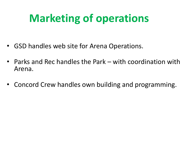# **Marketing of operations**

- GSD handles web site for Arena Operations.
- Parks and Rec handles the Park with coordination with Arena.
- Concord Crew handles own building and programming.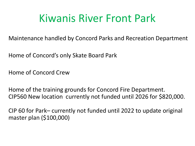### Kiwanis River Front Park

Maintenance handled by Concord Parks and Recreation Department

Home of Concord's only Skate Board Park

Home of Concord Crew

Home of the training grounds for Concord Fire Department. CIP560 New location currently not funded until 2026 for \$820,000.

CIP 60 for Park– currently not funded until 2022 to update original master plan (\$100,000)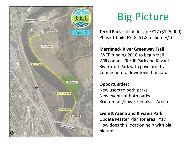![](_page_9_Picture_0.jpeg)

### Big Picture

**Terrill Park** – final design FY17 (\$125,000) Phase 1 build FY18: \$1.8 million (+/-)

#### **Merrimack River Greenway Trail** LWCF funding 2016 to begin trail Will connect Terrill Park and Kiwanis Riverfront Park with pave bike trail. Connection to downtown Concord

#### **Opportunities:**

New users to both parks New events at both parks Bike rentals/Kayak rentals at Arena

#### **Everett Arena and Kiwanis Park**

Update Master Plan for area FY17 How does this location help with big picture.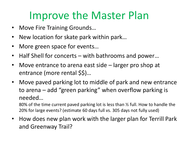### Improve the Master Plan

- Move Fire Training Grounds…
- New location for skate park within park…
- More green space for events...
- Half Shell for concerts with bathrooms and power…
- Move entrance to arena east side larger pro shop at entrance (more rental \$\$)…
- Move paved parking lot to middle of park and new entrance to arena – add "green parking" when overflow parking is needed…

80% of the time current paved parking lot is less than ½ full. How to handle the 20% for large events? (estimate 60 days full vs. 305 days not fully used)

• How does new plan work with the larger plan for Terrill Park and Greenway Trail?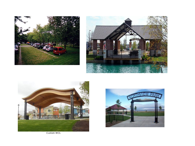![](_page_11_Picture_0.jpeg)

![](_page_11_Picture_1.jpeg)

![](_page_11_Picture_2.jpeg)

![](_page_11_Picture_3.jpeg)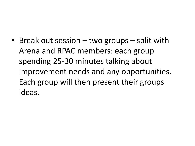• Break out session – two groups – split with Arena and RPAC members: each group spending 25-30 minutes talking about improvement needs and any opportunities. Each group will then present their groups ideas.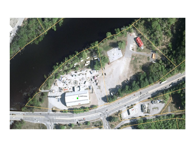![](_page_13_Picture_0.jpeg)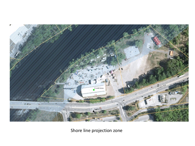![](_page_14_Picture_0.jpeg)

Shore line projection zone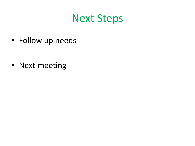#### Next Steps

• Follow up needs

• Next meeting